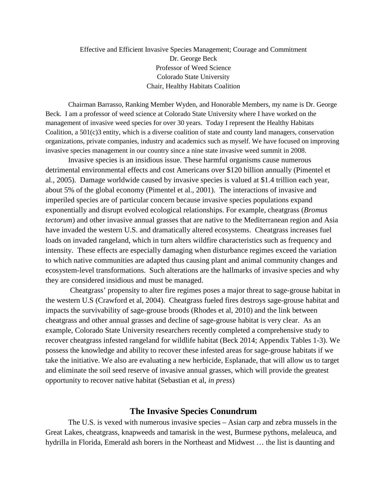#### Effective and Efficient Invasive Species Management; Courage and Commitment Dr. George Beck Professor of Weed Science Colorado State University Chair, Healthy Habitats Coalition

Chairman Barrasso, Ranking Member Wyden, and Honorable Members, my name is Dr. George Beck. I am a professor of weed science at Colorado State University where I have worked on the management of invasive weed species for over 30 years. Today I represent the Healthy Habitats Coalition, a 501(c)3 entity, which is a diverse coalition of state and county land managers, conservation organizations, private companies, industry and academics such as myself. We have focused on improving invasive species management in our country since a nine state invasive weed summit in 2008.

Invasive species is an insidious issue. These harmful organisms cause numerous detrimental environmental effects and cost Americans over \$120 billion annually (Pimentel et al., 2005). Damage worldwide caused by invasive species is valued at \$1.4 trillion each year, about 5% of the global economy (Pimentel et al., 2001). The interactions of invasive and imperiled species are of particular concern because invasive species populations expand exponentially and disrupt evolved ecological relationships. For example, cheatgrass (*Bromus tectorum*) and other invasive annual grasses that are native to the Mediterranean region and Asia have invaded the western U.S. and dramatically altered ecosystems. Cheatgrass increases fuel loads on invaded rangeland, which in turn alters wildfire characteristics such as frequency and intensity. These effects are especially damaging when disturbance regimes exceed the variation to which native communities are adapted thus causing plant and animal community changes and ecosystem-level transformations. Such alterations are the hallmarks of invasive species and why they are considered insidious and must be managed.

Cheatgrass' propensity to alter fire regimes poses a major threat to sage-grouse habitat in the western U.S (Crawford et al, 2004). Cheatgrass fueled fires destroys sage-grouse habitat and impacts the survivability of sage-grouse broods (Rhodes et al, 2010) and the link between cheatgrass and other annual grasses and decline of sage-grouse habitat is very clear. As an example, Colorado State University researchers recently completed a comprehensive study to recover cheatgrass infested rangeland for wildlife habitat (Beck 2014; Appendix Tables 1-3). We possess the knowledge and ability to recover these infested areas for sage-grouse habitats if we take the initiative. We also are evaluating a new herbicide, Esplanade, that will allow us to target and eliminate the soil seed reserve of invasive annual grasses, which will provide the greatest opportunity to recover native habitat (Sebastian et al, *in press*)

#### **The Invasive Species Conundrum**

The U.S. is vexed with numerous invasive species – Asian carp and zebra mussels in the Great Lakes, cheatgrass, knapweeds and tamarisk in the west, Burmese pythons, melaleuca, and hydrilla in Florida, Emerald ash borers in the Northeast and Midwest … the list is daunting and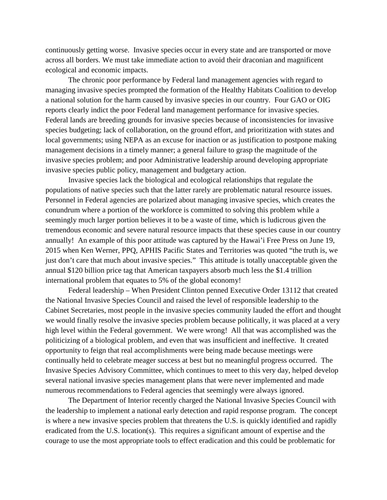continuously getting worse. Invasive species occur in every state and are transported or move across all borders. We must take immediate action to avoid their draconian and magnificent ecological and economic impacts.

The chronic poor performance by Federal land management agencies with regard to managing invasive species prompted the formation of the Healthy Habitats Coalition to develop a national solution for the harm caused by invasive species in our country. Four GAO or OIG reports clearly indict the poor Federal land management performance for invasive species. Federal lands are breeding grounds for invasive species because of inconsistencies for invasive species budgeting; lack of collaboration, on the ground effort, and prioritization with states and local governments; using NEPA as an excuse for inaction or as justification to postpone making management decisions in a timely manner; a general failure to grasp the magnitude of the invasive species problem; and poor Administrative leadership around developing appropriate invasive species public policy, management and budgetary action.

Invasive species lack the biological and ecological relationships that regulate the populations of native species such that the latter rarely are problematic natural resource issues. Personnel in Federal agencies are polarized about managing invasive species, which creates the conundrum where a portion of the workforce is committed to solving this problem while a seemingly much larger portion believes it to be a waste of time, which is ludicrous given the tremendous economic and severe natural resource impacts that these species cause in our country annually! An example of this poor attitude was captured by the Hawai'i Free Press on June 19, 2015 when Ken Werner, PPQ, APHIS Pacific States and Territories was quoted "the truth is, we just don't care that much about invasive species." This attitude is totally unacceptable given the annual \$120 billion price tag that American taxpayers absorb much less the \$1.4 trillion international problem that equates to 5% of the global economy!

Federal leadership – When President Clinton penned Executive Order 13112 that created the National Invasive Species Council and raised the level of responsible leadership to the Cabinet Secretaries, most people in the invasive species community lauded the effort and thought we would finally resolve the invasive species problem because politically, it was placed at a very high level within the Federal government. We were wrong! All that was accomplished was the politicizing of a biological problem, and even that was insufficient and ineffective. It created opportunity to feign that real accomplishments were being made because meetings were continually held to celebrate meager success at best but no meaningful progress occurred. The Invasive Species Advisory Committee, which continues to meet to this very day, helped develop several national invasive species management plans that were never implemented and made numerous recommendations to Federal agencies that seemingly were always ignored.

The Department of Interior recently charged the National Invasive Species Council with the leadership to implement a national early detection and rapid response program. The concept is where a new invasive species problem that threatens the U.S. is quickly identified and rapidly eradicated from the U.S. location(s). This requires a significant amount of expertise and the courage to use the most appropriate tools to effect eradication and this could be problematic for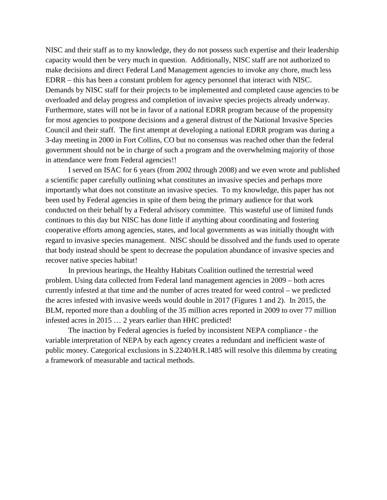NISC and their staff as to my knowledge, they do not possess such expertise and their leadership capacity would then be very much in question. Additionally, NISC staff are not authorized to make decisions and direct Federal Land Management agencies to invoke any chore, much less EDRR – this has been a constant problem for agency personnel that interact with NISC. Demands by NISC staff for their projects to be implemented and completed cause agencies to be overloaded and delay progress and completion of invasive species projects already underway. Furthermore, states will not be in favor of a national EDRR program because of the propensity for most agencies to postpone decisions and a general distrust of the National Invasive Species Council and their staff. The first attempt at developing a national EDRR program was during a 3-day meeting in 2000 in Fort Collins, CO but no consensus was reached other than the federal government should not be in charge of such a program and the overwhelming majority of those in attendance were from Federal agencies!!

I served on ISAC for 6 years (from 2002 through 2008) and we even wrote and published a scientific paper carefully outlining what constitutes an invasive species and perhaps more importantly what does not constitute an invasive species. To my knowledge, this paper has not been used by Federal agencies in spite of them being the primary audience for that work conducted on their behalf by a Federal advisory committee. This wasteful use of limited funds continues to this day but NISC has done little if anything about coordinating and fostering cooperative efforts among agencies, states, and local governments as was initially thought with regard to invasive species management. NISC should be dissolved and the funds used to operate that body instead should be spent to decrease the population abundance of invasive species and recover native species habitat!

In previous hearings, the Healthy Habitats Coalition outlined the terrestrial weed problem. Using data collected from Federal land management agencies in 2009 – both acres currently infested at that time and the number of acres treated for weed control – we predicted the acres infested with invasive weeds would double in 2017 (Figures 1 and 2). In 2015, the BLM, reported more than a doubling of the 35 million acres reported in 2009 to over 77 million infested acres in 2015 … 2 years earlier than HHC predicted!

The inaction by Federal agencies is fueled by inconsistent NEPA compliance - the variable interpretation of NEPA by each agency creates a redundant and inefficient waste of public money. Categorical exclusions in S.2240/H.R.1485 will resolve this dilemma by creating a framework of measurable and tactical methods.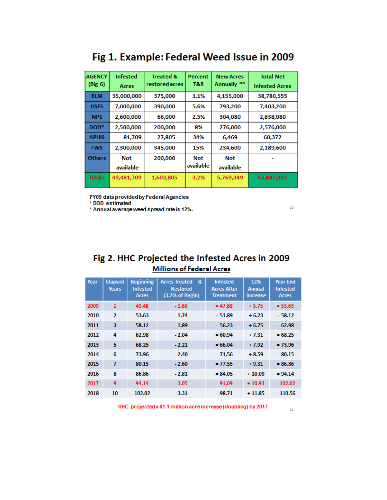| <b>AGENCY</b><br>(Big 6) | <b>Infested</b><br>Acres | <b>Treated &amp;</b><br>restored acres | Percent<br>T&R | <b>New Acres</b><br>Annually ** | <b>Total Net</b><br><b>Infested Acres</b> |
|--------------------------|--------------------------|----------------------------------------|----------------|---------------------------------|-------------------------------------------|
|                          |                          |                                        |                |                                 |                                           |
| <b>BLM</b>               | 35,000,000               | 375,000                                | 1.1%           | 4,155,000                       | 38,780,555                                |
| <b>USFS</b>              | 7,000,000                | 390,000                                | 5.6%           | 793,200                         | 7,403,200                                 |
| <b>NPS</b>               | 2,600,000                | 66,000                                 | 2.5%           | 304,080                         | 2,838,080                                 |
| $DOD*$                   | 2,500,000                | 200,000                                | 8%             | 276,000                         | 2,576,000                                 |
| <b>APHIS</b>             | 81,709                   | 27,805                                 | 34%            | 6,469                           | 60,372                                    |
| <b>FWS</b>               | 2,300,000                | 345,000                                | 15%            | 234,600                         | 2,189,600                                 |
| <b>Others</b>            | Not                      | 200,000                                | Not            | Not                             |                                           |
|                          | available                |                                        | available      | available                       |                                           |
| <b>Totals</b>            | 49,481,709               | 1,603,805                              | 3.2%           | 5,769,349                       | 53,847,807                                |

# Fig 1. Example: Federal Weed Issue in 2009

FY09 data provided by Federal Agencies

\* DOD estimated

\* Annual average weed spread rate is 12%.

## Fig 2. HHC Projected the Infested Acres in 2009 **Millions of Federal Acres**

| Year | <b>Elapsed</b><br><b>Years</b> | <b>Beginning</b><br><b>Infested</b><br>Acres | &<br><b>Acres Treated</b><br><b>Restored</b><br>(3.2% of Begin) | <b>Infested</b><br><b>Acres After</b><br><b>Treatment</b> | 12%<br>Annual<br>increase | <b>Year End</b><br><b>Infested</b><br>Acres |
|------|--------------------------------|----------------------------------------------|-----------------------------------------------------------------|-----------------------------------------------------------|---------------------------|---------------------------------------------|
| 2009 | 1                              | 49.48                                        | $-1.60$                                                         | $= 47.88$                                                 | $+5.75$                   | $= 53.63$                                   |
| 2010 | 2                              | 53.63                                        | $-1.74$                                                         | $= 51.89$                                                 | $+6.23$                   | $= 58.12$                                   |
| 2011 | з                              | 58.12                                        | $-1.89$                                                         | $= 56.23$                                                 | $+6.75$                   | $= 62.98$                                   |
| 2012 | 4                              | 62.98                                        | $-2.04$                                                         | $= 60.94$                                                 | $+7.31$                   | $= 68.25$                                   |
| 2013 | 5                              | 68.25                                        | $-2.21$                                                         | $= 66.04$                                                 | $+7.92$                   | $= 73.96$                                   |
| 2014 | 6                              | 73.96                                        | $-2.40$                                                         | $= 71.56$                                                 | $+8.59$                   | $= 80.15$                                   |
| 2015 | 7                              | 80.15                                        | $-2.60$                                                         | $= 77.55$                                                 | $+9.31$                   | $= 86.86$                                   |
| 2016 | 8                              | 86.86                                        | $-2.81$                                                         | $= 84.05$                                                 | $+10.09$                  | $= 94.14$                                   |
| 2017 | 9                              | 94.14                                        | $-3.05$                                                         | $= 91.09$                                                 | $+10.93$                  | $= 102.02$                                  |
| 2018 | 10                             | 102.02                                       | $-3.31$                                                         | $= 98.71$                                                 | $+11.85$                  | $= 110.56$                                  |

HHC projected a 61.1 million acre increase (doubling) by 2017

 $\bar{1}\bar{1}$ 

 $10\,$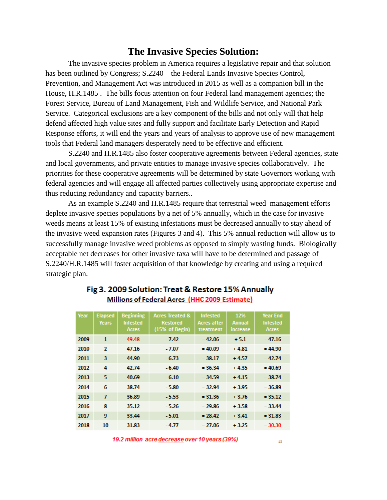## **The Invasive Species Solution:**

The invasive species problem in America requires a legislative repair and that solution has been outlined by Congress; S.2240 – the Federal Lands Invasive Species Control, Prevention, and Management Act was introduced in 2015 as well as a companion bill in the House, H.R.1485 . The bills focus attention on four Federal land management agencies; the Forest Service, Bureau of Land Management, Fish and Wildlife Service, and National Park Service. Categorical exclusions are a key component of the bills and not only will that help defend affected high value sites and fully support and facilitate Early Detection and Rapid Response efforts, it will end the years and years of analysis to approve use of new management tools that Federal land managers desperately need to be effective and efficient.

S.2240 and H.R.1485 also foster cooperative agreements between Federal agencies, state and local governments, and private entities to manage invasive species collaboratively. The priorities for these cooperative agreements will be determined by state Governors working with federal agencies and will engage all affected parties collectively using appropriate expertise and thus reducing redundancy and capacity barriers..

As an example S.2240 and H.R.1485 require that terrestrial weed management efforts deplete invasive species populations by a net of 5% annually, which in the case for invasive weeds means at least 15% of existing infestations must be decreased annually to stay ahead of the invasive weed expansion rates (Figures 3 and 4). This 5% annual reduction will allow us to successfully manage invasive weed problems as opposed to simply wasting funds. Biologically acceptable net decreases for other invasive taxa will have to be determined and passage of S.2240/H.R.1485 will foster acquisition of that knowledge by creating and using a required strategic plan.

| Year | <b>Elapsed</b><br><b>Years</b> | <b>Beginning</b><br><b>Infested</b><br>Acres | <b>Acres Treated &amp;</b><br><b>Restored</b><br>(15% of Begin) | <b>Infested</b><br>Acres after<br>treatment | 12%<br><b>Annual</b><br>increase | <b>Year End</b><br><b>Infested</b><br>Acres |
|------|--------------------------------|----------------------------------------------|-----------------------------------------------------------------|---------------------------------------------|----------------------------------|---------------------------------------------|
| 2009 | 1                              | 49.48                                        | $-7.42$                                                         | $= 42.06$                                   | $+5.1$                           | $= 47.16$                                   |
| 2010 | $\mathbf{2}$                   | 47.16                                        | $-7.07$                                                         | $= 40.09$                                   | $+4.81$                          | $= 44.90$                                   |
| 2011 | з                              | 44.90                                        | $-6.73$                                                         | $= 38.17$                                   | $+4.57$                          | $= 42.74$                                   |
| 2012 | 4                              | 42.74                                        | $-6.40$                                                         | $= 36.34$                                   | $+4.35$                          | $= 40.69$                                   |
| 2013 | 5                              | 40.69                                        | $-6.10$                                                         | $= 34.59$                                   | $+4.15$                          | $= 38.74$                                   |
| 2014 | 6                              | 38.74                                        | $-5.80$                                                         | $= 32.94$                                   | $+3.95$                          | $= 36.89$                                   |
| 2015 | $\overline{7}$                 | 36.89                                        | $-5.53$                                                         | $= 31.36$                                   | $+3.76$                          | $= 35.12$                                   |
| 2016 | 8                              | 35.12                                        | $-5.26$                                                         | $= 29.86$                                   | $+3.58$                          | $= 33.44$                                   |
| 2017 | 9                              | 33.44                                        | $-5.01$                                                         | $= 28.42$                                   | $+3.41$                          | $= 31.83$                                   |
| 2018 | 10                             | 31.83                                        | -4.77                                                           | $= 27.06$                                   | $+3.25$                          | $= 30.30$                                   |

## Fig 3. 2009 Solution: Treat & Restore 15% Annually Millions of Federal Acres (HHC 2009 Estimate)

19.2 million acre decrease over 10 years (39%)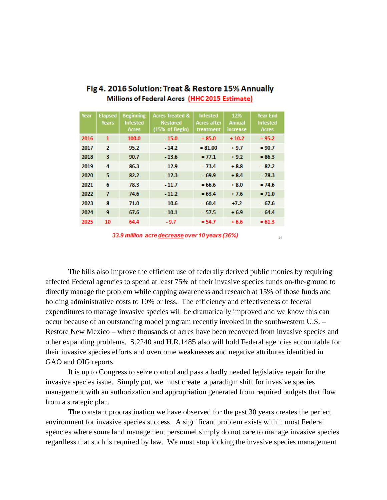| Year |                |                  |                            |                 | 12%           |                 |
|------|----------------|------------------|----------------------------|-----------------|---------------|-----------------|
|      | <b>Elapsed</b> | <b>Beginning</b> | <b>Acres Treated &amp;</b> | <b>Infested</b> |               | <b>Year End</b> |
|      | <b>Years</b>   | <b>Infested</b>  | <b>Restored</b>            | Acres after     | <b>Annual</b> | <b>Infested</b> |
|      |                | <b>Acres</b>     | (15% of Begin)             | treatment       | increase      | <b>Acres</b>    |
| 2016 | 1              | 100.0            | $-15.0$                    | $= 85.0$        | $+10.2$       | $= 95.2$        |
| 2017 | $\overline{2}$ | 95.2             | $-14.2$                    | $= 81.00$       | $+9.7$        | $= 90.7$        |
| 2018 | 3              | 90.7             | $-13.6$                    | $= 77.1$        | $+9.2$        | $= 86.3$        |
| 2019 | 4              | 86.3             | $-12.9$                    | $= 73.4$        | $+8.8$        | $= 82.2$        |
| 2020 | 5              | 82.2             | $-12.3$                    | $= 69.9$        | $+8.4$        | $= 78.3$        |
| 2021 | 6              | 78.3             | $-11.7$                    | $= 66.6$        | $+8.0$        | $= 74.6$        |
| 2022 | $\overline{ }$ | 74.6             | $-11.2$                    | $= 63.4$        | $+7.6$        | $= 71.0$        |
| 2023 | 8              | 71.0             | $-10.6$                    | $= 60.4$        | $+7.2$        | $= 67.6$        |
| 2024 | 9              | 67.6             | $-10.1$                    | $= 57.5$        | $+6.9$        | $= 64.4$        |
| 2025 | 10             | 64.4             | $-9.7$                     | $= 54.7$        | $+6.6$        | $= 61.3$        |

## Fig 4. 2016 Solution: Treat & Restore 15% Annually Millions of Federal Acres (HHC 2015 Estimate)

33.9 million acre decrease over 10 years (36%)

The bills also improve the efficient use of federally derived public monies by requiring affected Federal agencies to spend at least 75% of their invasive species funds on-the-ground to directly manage the problem while capping awareness and research at 15% of those funds and holding administrative costs to 10% or less. The efficiency and effectiveness of federal expenditures to manage invasive species will be dramatically improved and we know this can occur because of an outstanding model program recently invoked in the southwestern U.S. – Restore New Mexico – where thousands of acres have been recovered from invasive species and other expanding problems. S.2240 and H.R.1485 also will hold Federal agencies accountable for their invasive species efforts and overcome weaknesses and negative attributes identified in GAO and OIG reports.

It is up to Congress to seize control and pass a badly needed legislative repair for the invasive species issue. Simply put, we must create a paradigm shift for invasive species management with an authorization and appropriation generated from required budgets that flow from a strategic plan.

The constant procrastination we have observed for the past 30 years creates the perfect environment for invasive species success. A significant problem exists within most Federal agencies where some land management personnel simply do not care to manage invasive species regardless that such is required by law. We must stop kicking the invasive species management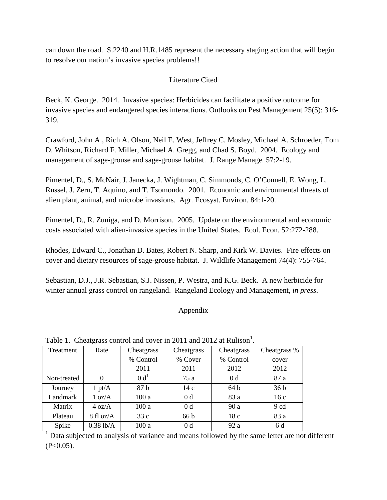can down the road. S.2240 and H.R.1485 represent the necessary staging action that will begin to resolve our nation's invasive species problems!!

### Literature Cited

Beck, K. George. 2014. Invasive species: Herbicides can facilitate a positive outcome for invasive species and endangered species interactions. Outlooks on Pest Management 25(5): 316- 319.

Crawford, John A., Rich A. Olson, Neil E. West, Jeffrey C. Mosley, Michael A. Schroeder, Tom D. Whitson, Richard F. Miller, Michael A. Gregg, and Chad S. Boyd. 2004. Ecology and management of sage-grouse and sage-grouse habitat. J. Range Manage. 57:2-19.

Pimentel, D., S. McNair, J. Janecka, J. Wightman, C. Simmonds, C. O'Connell, E. Wong, L. Russel, J. Zern, T. Aquino, and T. Tsomondo. 2001. Economic and environmental threats of alien plant, animal, and microbe invasions. Agr. Ecosyst. Environ. 84:1-20.

Pimentel, D., R. Zuniga, and D. Morrison. 2005. Update on the environmental and economic costs associated with alien-invasive species in the United States. Ecol. Econ. 52:272-288.

Rhodes, Edward C., Jonathan D. Bates, Robert N. Sharp, and Kirk W. Davies. Fire effects on cover and dietary resources of sage-grouse habitat. J. Wildlife Management 74(4): 755-764.

Sebastian, D.J., J.R. Sebastian, S.J. Nissen, P. Westra, and K.G. Beck. A new herbicide for winter annual grass control on rangeland. Rangeland Ecology and Management, *in press*.

## Appendix

| Twore 1. Cheatgrass control and cover in 2011 and 2012 at realison. |                     |           |                |                |                 |  |  |  |  |
|---------------------------------------------------------------------|---------------------|-----------|----------------|----------------|-----------------|--|--|--|--|
| Treatment                                                           | Rate                |           | Cheatgrass     | Cheatgrass     | Cheatgrass %    |  |  |  |  |
|                                                                     |                     | % Control | % Cover        | % Control      | cover           |  |  |  |  |
|                                                                     |                     | 2011      | 2011           | 2012           | 2012            |  |  |  |  |
| Non-treated                                                         |                     | $0\,d^1$  | 75 a           | 0 <sub>d</sub> | 87 a            |  |  |  |  |
| Journey                                                             | $1 \text{ pt/A}$    | 87 b      | 14c            | 64b            | 36 <sub>b</sub> |  |  |  |  |
| Landmark                                                            | 1 oz/A              | 100a      | 0 <sub>d</sub> | 83 a           | 16c             |  |  |  |  |
| Matrix                                                              | $4 \text{ oz/A}$    | 100a      | 0 <sub>d</sub> | 90 a           | 9 cd            |  |  |  |  |
| Plateau                                                             | $8 \text{ fl oz/A}$ | 33c       | 66 b           | 18c            | 83 a            |  |  |  |  |
| Spike                                                               | $0.38$ lb/A         | 100 a     | 0 <sub>d</sub> | 92 a           | 6 d             |  |  |  |  |

Table 1. Cheatgrass control and cover in 2011 and 2012 at Rulison<sup>1</sup>.

<sup>1</sup> Data subjected to analysis of variance and means followed by the same letter are not different  $(P<0.05)$ .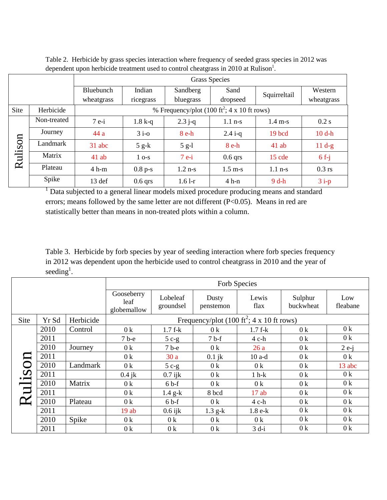|         |             | <b>Grass Species</b> |              |           |                                                         |                   |            |  |
|---------|-------------|----------------------|--------------|-----------|---------------------------------------------------------|-------------------|------------|--|
|         |             | Bluebunch            | Indian       | Sandberg  | Sand                                                    | Squirreltail      | Western    |  |
|         |             | wheatgrass           | ricegrass    | bluegrass | dropseed                                                |                   | wheatgrass |  |
| Site    | Herbicide   |                      |              |           | % Frequency/plot (100 ft <sup>2</sup> ; 4 x 10 ft rows) |                   |            |  |
| Rulison | Non-treated | $7e-i$               | $1.8 k-q$    | $2.3 j-q$ | $1.1$ n-s                                               | $1.4 \text{ m-s}$ | 0.2 s      |  |
|         | Journey     | 44 a                 | $3i-0$       | $8e-h$    | $2.4 i-q$                                               | 19 bcd            | $10$ d-h   |  |
|         | Landmark    | 31 abc               | $5 g-k$      | $5$ g-l   | $8 e-h$                                                 | $41$ ab           | $11 d-g$   |  |
|         | Matrix      | $41$ ab              | $1\sigma$ -s | $7e-i$    | $0.6$ qrs                                               | $15$ cde          | $6f-i$     |  |
|         | Plateau     | $4 h-m$              | $0.8$ p-s    | $1.2$ n-s | $1.5 \text{ m-s}$                                       | $1.1$ n-s         | $0.3$ rs   |  |
|         | Spike       | 13 def               | $0.6$ qrs    | $1.61-r$  | $4 h-n$                                                 | $9d-h$            | $3i-p$     |  |

Table 2. Herbicide by grass species interaction where frequency of seeded grass species in 2012 was dependent upon herbicide treatment used to control cheatgrass in 2010 at Rulison<sup>1</sup>.

<sup>1</sup> Data subjected to a general linear models mixed procedure producing means and standard errors; means followed by the same letter are not different (P<0.05). Means in red are statistically better than means in non-treated plots within a column.

Table 3. Herbicide by forb species by year of seeding interaction where forb species frequency in 2012 was dependent upon the herbicide used to control cheatgrass in 2010 and the year of seeding<sup>1</sup>.

|       |       |           | Forb Species                                          |                       |                    |                |                      |                 |  |
|-------|-------|-----------|-------------------------------------------------------|-----------------------|--------------------|----------------|----------------------|-----------------|--|
|       |       |           | Gooseberry<br>leaf<br>globemallow                     | Lobeleaf<br>groundsel | Dusty<br>penstemon | Lewis<br>flax  | Sulphur<br>buckwheat | Low<br>fleabane |  |
| Site  | Yr Sd | Herbicide | Frequency/plot (100 ft <sup>2</sup> ; 4 x 10 ft rows) |                       |                    |                |                      |                 |  |
|       | 2010  | Control   | 0 <sup>k</sup>                                        | $1.7 f-k$             | 0 <sup>k</sup>     | $1.7 f-k$      | 0 <sup>k</sup>       | 0 <sup>k</sup>  |  |
|       | 2011  |           | $7b-e$                                                | $5c-g$                | $7b-f$             | 4 c-h          | 0 <sup>k</sup>       | 0 <sup>k</sup>  |  |
|       | 2010  | Journey   | 0 <sup>k</sup>                                        | $7b-e$                | 0 <sup>k</sup>     | 26a            | 0 <sup>k</sup>       | $2e-i$          |  |
|       | 2011  |           | 0 <sup>k</sup>                                        | 30a                   | $0.1$ jk           | $10$ a-d       | 0 <sup>k</sup>       | 0 <sup>k</sup>  |  |
|       | 2010  | Landmark  | 0 <sup>k</sup>                                        | $5c-g$                | 0 <sup>k</sup>     | 0 <sup>k</sup> | 0 <sup>k</sup>       | 13 abc          |  |
|       | 2011  |           | $0.4$ jk                                              | $0.7$ ijk             | 0 <sup>k</sup>     | $1 h-k$        | 0 <sup>k</sup>       | 0 <sup>k</sup>  |  |
|       | 2010  | Matrix    | 0 <sup>k</sup>                                        | $6b-f$                | 0 <sup>k</sup>     | 0 <sup>k</sup> | 0 <sup>k</sup>       | 0 <sup>k</sup>  |  |
|       | 2011  |           | 0 <sup>k</sup>                                        | $1.4$ g-k             | 8 bcd              | 17ab           | 0 <sup>k</sup>       | 0 <sup>k</sup>  |  |
| Rulis | 2010  | Plateau   | 0 <sup>k</sup>                                        | $6b-f$                | 0 <sup>k</sup>     | $4$ c-h        | 0 <sup>k</sup>       | 0 <sup>k</sup>  |  |
|       | 2011  |           | 19ab                                                  | $0.6$ ijk             | $1.3$ g-k          | $1.8 e-k$      | 0 <sup>k</sup>       | 0 <sup>k</sup>  |  |
|       | 2010  | Spike     | 0 <sup>k</sup>                                        | 0 <sup>k</sup>        | 0 <sup>k</sup>     | 0 <sup>k</sup> | 0 <sup>k</sup>       | 0 <sup>k</sup>  |  |
|       | 2011  |           | 0 <sup>k</sup>                                        | 0 <sup>k</sup>        | 0 <sup>k</sup>     | $3$ d-i        | 0 <sup>k</sup>       | 0 <sup>k</sup>  |  |